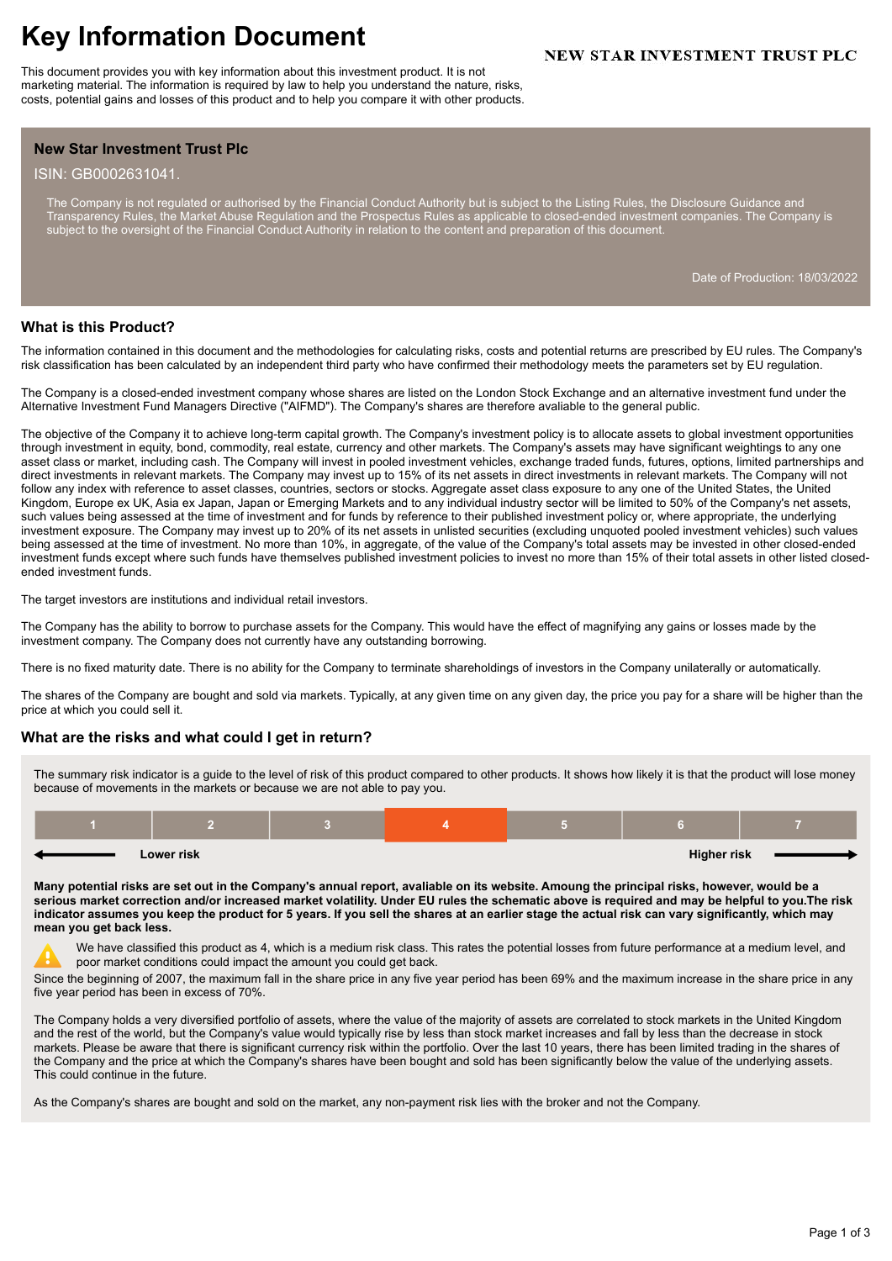# **Key Information Document**

This document provides you with key information about this investment product. It is not marketing material. The information is required by law to help you understand the nature, risks, costs, potential gains and losses of this product and to help you compare it with other products.

# **NEW STAR INVESTMENT TRUST PLC**

## **New Star Investment Trust Plc**

#### ISIN: GB0002631041.

The Company is not regulated or authorised by the Financial Conduct Authority but is subject to the Listing Rules, the Disclosure Guidance and Transparency Rules, the Market Abuse Regulation and the Prospectus Rules as applicable to closed-ended investment companies. The Company is subject to the oversight of the Financial Conduct Authority in relation to the content and preparation of this document.

Date of Production: 18/03/2022

### **What is this Product?**

The information contained in this document and the methodologies for calculating risks, costs and potential returns are prescribed by EU rules. The Company's risk classification has been calculated by an independent third party who have confirmed their methodology meets the parameters set by EU regulation.

The Company is a closed-ended investment company whose shares are listed on the London Stock Exchange and an alternative investment fund under the Alternative Investment Fund Managers Directive ("AIFMD"). The Company's shares are therefore avaliable to the general public.

The objective of the Company it to achieve long-term capital growth. The Company's investment policy is to allocate assets to global investment opportunities through investment in equity, bond, commodity, real estate, currency and other markets. The Company's assets may have significant weightings to any one asset class or market, including cash. The Company will invest in pooled investment vehicles, exchange traded funds, futures, options, limited partnerships and direct investments in relevant markets. The Company may invest up to 15% of its net assets in direct investments in relevant markets. The Company will not follow any index with reference to asset classes, countries, sectors or stocks. Aggregate asset class exposure to any one of the United States, the United Kingdom, Europe ex UK, Asia ex Japan, Japan or Emerging Markets and to any individual industry sector will be limited to 50% of the Company's net assets, such values being assessed at the time of investment and for funds by reference to their published investment policy or, where appropriate, the underlying investment exposure. The Company may invest up to 20% of its net assets in unlisted securities (excluding unquoted pooled investment vehicles) such values being assessed at the time of investment. No more than 10%, in aggregate, of the value of the Company's total assets may be invested in other closed-ended investment funds except where such funds have themselves published investment policies to invest no more than 15% of their total assets in other listed closedended investment funds.

The target investors are institutions and individual retail investors.

The Company has the ability to borrow to purchase assets for the Company. This would have the effect of magnifying any gains or losses made by the investment company. The Company does not currently have any outstanding borrowing.

There is no fixed maturity date. There is no ability for the Company to terminate shareholdings of investors in the Company unilaterally or automatically.

The shares of the Company are bought and sold via markets. Typically, at any given time on any given day, the price you pay for a share will be higher than the price at which you could sell it.

### **What are the risks and what could I get in return?**

The summary risk indicator is a guide to the level of risk of this product compared to other products. It shows how likely it is that the product will lose money because of movements in the markets or because we are not able to pay you.

| Lower risk |  |  |  | <b>Higher risk</b> |  |
|------------|--|--|--|--------------------|--|

**Many potential risks are set out in the Company's annual report, avaliable on its website. Amoung the principal risks, however, would be a serious market correction and/or increased market volatility. Under EU rules the schematic above is required and may be helpful to you.The risk indicator assumes you keep the product for 5 years. If you sell the shares at an earlier stage the actual risk can vary significantly, which may mean you get back less.**

We have classified this product as 4, which is a medium risk class. This rates the potential losses from future performance at a medium level, and poor market conditions could impact the amount you could get back.

Since the beginning of 2007, the maximum fall in the share price in any five year period has been 69% and the maximum increase in the share price in any five year period has been in excess of 70%.

The Company holds a very diversified portfolio of assets, where the value of the majority of assets are correlated to stock markets in the United Kingdom and the rest of the world, but the Company's value would typically rise by less than stock market increases and fall by less than the decrease in stock markets. Please be aware that there is significant currency risk within the portfolio. Over the last 10 years, there has been limited trading in the shares of the Company and the price at which the Company's shares have been bought and sold has been significantly below the value of the underlying assets. This could continue in the future.

As the Company's shares are bought and sold on the market, any non-payment risk lies with the broker and not the Company.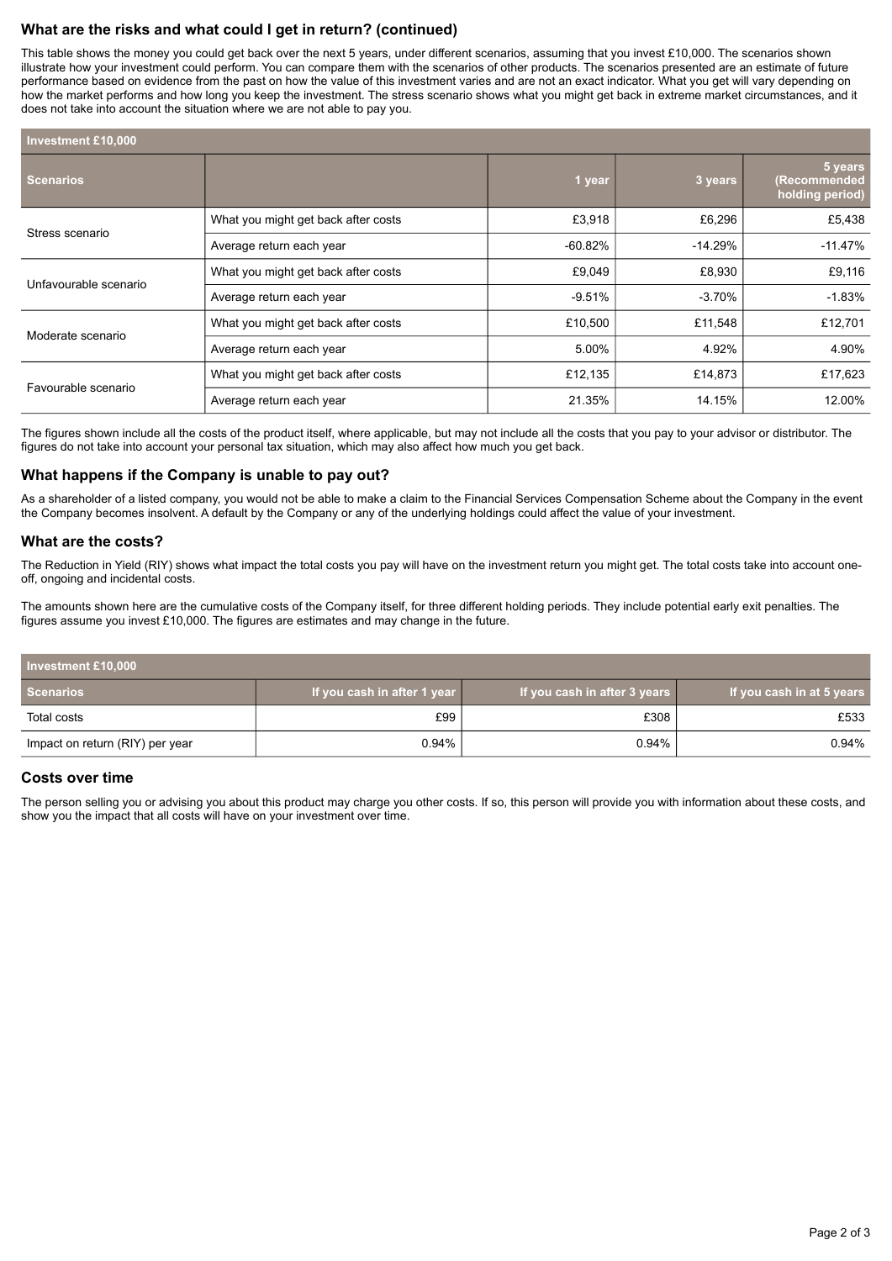# **What are the risks and what could I get in return? (continued)**

This table shows the money you could get back over the next 5 years, under different scenarios, assuming that you invest £10,000. The scenarios shown illustrate how your investment could perform. You can compare them with the scenarios of other products. The scenarios presented are an estimate of future performance based on evidence from the past on how the value of this investment varies and are not an exact indicator. What you get will vary depending on how the market performs and how long you keep the investment. The stress scenario shows what you might get back in extreme market circumstances, and it does not take into account the situation where we are not able to pay you.

| <b>Investment £10,000</b> |                                     |           |           |                                            |
|---------------------------|-------------------------------------|-----------|-----------|--------------------------------------------|
| <b>Scenarios</b>          |                                     | 1 year    | 3 years   | 5 years<br>(Recommended<br>holding period) |
| Stress scenario           | What you might get back after costs | £3,918    | £6,296    | £5,438                                     |
|                           | Average return each year            | $-60.82%$ | $-14.29%$ | $-11.47%$                                  |
| Unfavourable scenario     | What you might get back after costs | £9,049    | £8,930    | £9,116                                     |
|                           | Average return each year            | $-9.51%$  | $-3.70\%$ | $-1.83%$                                   |
| Moderate scenario         | What you might get back after costs | £10,500   | £11,548   | £12,701                                    |
|                           | Average return each year            | 5.00%     | 4.92%     | 4.90%                                      |
| Favourable scenario       | What you might get back after costs | £12,135   | £14,873   | £17,623                                    |
|                           | Average return each year            | 21.35%    | 14.15%    | 12.00%                                     |

The figures shown include all the costs of the product itself, where applicable, but may not include all the costs that you pay to your advisor or distributor. The figures do not take into account your personal tax situation, which may also affect how much you get back.

### **What happens if the Company is unable to pay out?**

As a shareholder of a listed company, you would not be able to make a claim to the Financial Services Compensation Scheme about the Company in the event the Company becomes insolvent. A default by the Company or any of the underlying holdings could affect the value of your investment.

#### **What are the costs?**

The Reduction in Yield (RIY) shows what impact the total costs you pay will have on the investment return you might get. The total costs take into account oneoff, ongoing and incidental costs.

The amounts shown here are the cumulative costs of the Company itself, for three different holding periods. They include potential early exit penalties. The figures assume you invest £10,000. The figures are estimates and may change in the future.

| Investment £10,000              |                             |                              |                           |  |  |
|---------------------------------|-----------------------------|------------------------------|---------------------------|--|--|
| <b>Scenarios</b>                | If you cash in after 1 year | If you cash in after 3 years | If you cash in at 5 years |  |  |
| Total costs                     | £99                         | £308                         | £533                      |  |  |
| Impact on return (RIY) per year | 0.94%                       | 0.94%                        | 0.94%                     |  |  |

### **Costs over time**

The person selling you or advising you about this product may charge you other costs. If so, this person will provide you with information about these costs, and show you the impact that all costs will have on your investment over time.